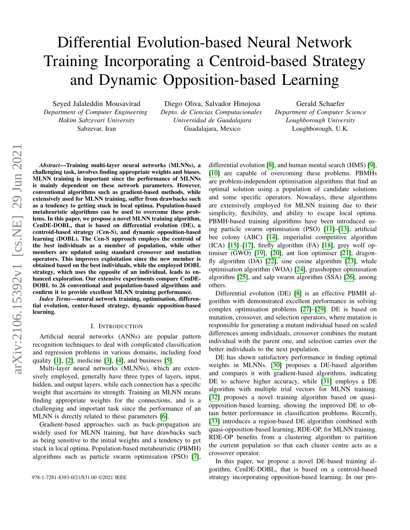# Differential Evolution-based Neural Network Training Incorporating a Centroid-based Strategy and Dynamic Opposition-based Learning

Seyed Jalaleddin Mousavirad *Department of Computer Engineering Hakim Sabzevari University* Sabzevar, Iran

Diego Oliva, Salvador Hinojosa *Depto. de Ciencias Computacionales Universidad de Guadalajara* Guadalajara, Mexico

Gerald Schaefer *Department of Computer Science Loughborough University* Loughborough, U.K.

*Abstract*—Training multi-layer neural networks (MLNNs), a challenging task, involves finding appropriate weights and biases. MLNN training is important since the performance of MLNNs is mainly dependent on these network parameters. However, conventional algorithms such as gradient-based methods, while extensively used for MLNN training, suffer from drawbacks such as a tendency to getting stuck in local optima. Population-based metaheuristic algorithms can be used to overcome these problems. In this paper, we propose a novel MLNN training algorithm, CenDE-DOBL, that is based on differential evolution (DE), a centroid-based strategy (Cen-S), and dynamic opposition-based learning (DOBL). The Cen-S approach employs the centroid of the best individuals as a member of population, while other members are updated using standard crossover and mutation operators. This improves exploitation since the new member is obtained based on the best individuals, while the employed DOBL strategy, which uses the opposite of an individual, leads to enhanced exploration. Our extensive experiments compare CenDE-DOBL to 26 conventional and population-based algorithms and confirm it to provide excellent MLNN training performance.

*Index Terms*—neural network training, optimisation, differential evolution, center-based strategy, dynamic opposition-based learning.

#### I. INTRODUCTION

Artificial neural networks (ANNs) are popular pattern recognition techniques to deal with complicated classification and regression problems in various domains, including food quality  $[1]$ ,  $[2]$ , medicine  $[3]$ ,  $[4]$ , and business  $[5]$ .

Multi-layer neural networks (MLNNs), which are extensively employed, generally have three types of layers, input, hidden, and output layers, while each connection has a specific weight that ascertains its strength. Training an MLNN means finding appropriate weights for the connections, and is a challenging and important task since the performance of an MLNN is directly related to these parameters [\[6\]](#page-4-5).

Gradient-based approaches such as back-propagation are widely used for MLNN training, but have drawbacks such as being sensitive to the initial weights and a tendency to get stuck in local optima. Population-based metaheuristic (PBMH) algorithms such as particle swarm optimisation (PSO) [\[7\]](#page-4-6), differential evolution [\[8\]](#page-4-7), and human mental search (HMS) [\[9\]](#page-5-0), [\[10\]](#page-5-1) are capable of overcoming these problems. PBMHs are problem-independent optimisation algorithms that find an optimal solution using a population of candidate solutions and some specific operators. Nowadays, these algorithms are extensively employed for MLNN training due to their simplicity, flexibility, and ability to escape local optima. PBMH-based training algorithms have been introduced using particle swarm optimisation (PSO) [\[11\]](#page-5-2)–[\[13\]](#page-5-3), artificial bee colony (ABC) [\[14\]](#page-5-4), imperialist competitive algorithm  $(ICA)$  [\[15\]](#page-5-5)–[\[17\]](#page-5-6), firefly algorithm  $(FA)$  [\[18\]](#page-5-7), grey wolf optimiser (GWO) [\[19\]](#page-5-8), [\[20\]](#page-5-9), ant lion optimiser [\[21\]](#page-5-10), dragonfly algorithm (DA) [\[22\]](#page-5-11), sine cosine algorithm [\[23\]](#page-5-12), whale optimisation algorithm (WOA) [\[24\]](#page-5-13), grasshopper optimisation algorithm [\[25\]](#page-6-0), and salp swarm algorithm (SSA) [\[26\]](#page-6-1), among others.

Differential evolution (DE) [\[8\]](#page-4-7) is an effective PBMH algorithm with demonstrated excellent performance in solving complex optimisation problems [\[27\]](#page-6-2)–[\[29\]](#page-6-3). DE is based on mutation, crossover, and selection operators, where mutation is responsible for generating a mutant individual based on scaled differences among individuals, crossover combines the mutant individual with the parent one, and selection carries over the better individuals to the next population.

DE has shown satisfactory performance in finding optimal weights in MLNNs. [\[30\]](#page-6-4) proposes a DE-based algorithm and compares it with gradient-based algorithms, indicating DE to achieve higher accuracy, while [\[31\]](#page-6-5) employs a DE algorithm with multiple trial vectors for MLNN training. [\[32\]](#page-6-6) proposes a novel training algorithm based on quasiopposition-based learning, showing the improved DE to obtain better performance in classification problems. Recently, [\[33\]](#page-6-7) introduces a region-based DE algorithm combined with quasi-opposition-based learning, RDE-OP, for MLNN training. RDE-OP benefits from a clustering algorithm to partition the current population so that each cluster centre acts as a crossover operator.

In this paper, we propose a novel DE-based training algorithm, CenDE-DOBL, that is based on a centroid-based 978-1-7281-8393-0/21/\$31.00 ©2021 IEEE strategy incorporating opposition-based learning. In our pro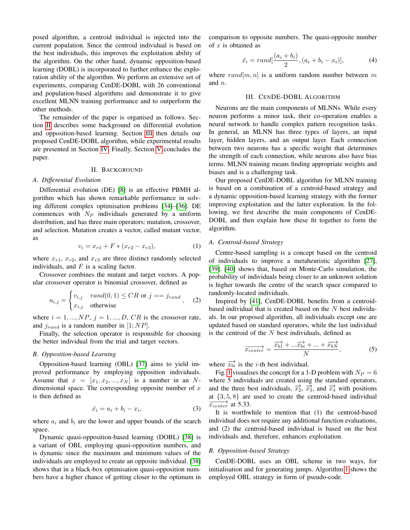posed algorithm, a centroid individual is injected into the current population. Since the centroid individual is based on the best individuals, this improves the exploitation ability of the algorithm. On the other hand, dynamic opposition-based learning (DOBL) is incorporated to further enhance the exploration ability of the algorithm. We perform an extensive set of experiments, comparing CenDE-DOBL with 26 conventional and population-based algorithms and demonstrate it to give excellent MLNN training performance and to outperform the other methods.

The remainder of the paper is organised as follows. Section [II](#page-1-0) describes some background on differential evolution and opposition-based learning. Section [III](#page-1-1) then details our proposed CenDE-DOBL algorithm, while experimental results are presented in Section [IV.](#page-3-0) Finally, Section [V](#page-4-8) concludes the paper.

# II. BACKGROUND

#### <span id="page-1-0"></span>*A. Differential Evolution*

Differential evolution (DE) [\[8\]](#page-4-7) is an effective PBMH algorithm which has shown remarkable performance in solving different complex optimisation problems [\[34\]](#page-6-8)–[\[36\]](#page-6-9). DE commences with  $N_P$  individuals generated by a uniform distribution, and has three main operators: mutation, crossover, and selection. Mutation creates a vector, called mutant vector, as

$$
v_i = x_{r1} + F * (x_{r2} - x_{r3}), \tag{1}
$$

where  $x_{r1}$ ,  $x_{r2}$ , and  $x_{r3}$  are three distinct randomly selected individuals, and  $F$  is a scaling factor.

Crossover combines the mutant and target vectors. A popular crossover operator is binomial crossover, defined as

$$
u_{i,j} = \begin{cases} v_{i,j} & rand(0,1) \le CR \text{ or } j == j_{rand} \\ x_{i,j} & otherwise \end{cases}
$$
 (2)

where  $i = 1, ..., NP$ ,  $j = 1, ..., D$ ,  $CR$  is the crossover rate, and  $j_{rand}$  is a random number in [1; NP].

Finally, the selection operator is responsible for choosing the better individual from the trial and target vectors.

## *B. Opposition-based Learning*

Opposition-based learning (OBL) [\[37\]](#page-6-10) aims to yield improved performance by employing opposition individuals. Assume that  $x = [x_1, x_2, ..., x_N]$  is a number in an Ndimensional space. The corresponding opposite number of  $x$ is then defined as

$$
\tilde{x_i} = a_i + b_i - x_i,\tag{3}
$$

where  $a_i$  and  $b_i$  are the lower and upper bounds of the search space.

Dynamic quasi-opposition-based learning (DOBL) [\[38\]](#page-6-11) is a variant of OBL employing quasi-opposition numbers, and is dynamic since the maximum and minimum values of the individuals are employed to create an opposite individual. [\[38\]](#page-6-11) shows that in a black-box optimisation quasi-opposition numbers have a higher chance of getting closer to the optimum in comparison to opposite numbers. The quasi-opposite number of  $x$  is obtained as

<span id="page-1-2"></span>
$$
\tilde{x}_i = rand[\frac{(a_i + b_i)}{2}, (a_i + b_i - x_i)],
$$
\n(4)

where  $rand[m, n]$  is a uniform random number between m and n.

# III. CENDE-DOBL ALGORITHM

<span id="page-1-1"></span>Neurons are the main components of MLNNs. While every neuron performs a minor task, their co-operation enables a neural network to handle complex pattern recognition tasks. In general, an MLNN has three types of layers, an input layer, hidden layers, and an output layer. Each connection between two neurons has a specific weight that determines the strength of each connection, while neurons also have bias terms. MLNN training means finding appropriate weights and biases and is a challenging task.

Our proposed CenDE-DOBL algorithm for MLNN training is based on a combination of a centroid-based strategy and a dynamic opposition-based learning strategy with the former improving exploitation and the latter exploration. In the following, we first describe the main components of CenDE-DOBL and then explain how these fit together to form the algorithm.

# *A. Centroid-based Strategy*

Centre-based sampling is a concept based on the centroid of individuals to improve a metaheuristic algorithm [\[27\]](#page-6-2), [\[39\]](#page-6-12). [\[40\]](#page-6-13) shows that, based on Monte-Carlo simulation, the probability of individuals being closer to an unknown solution is higher towards the centre of the search space compared to randomly-located individuals.

Inspired by [\[41\]](#page-6-14), CenDE-DOBL benefits from a centroidbased individual that is created based on the  $N$  best individuals. In our proposed algorithm, all individuals except one are updated based on standard operators, while the last individual is the centroid of the  $N$  best individuals, defined as

$$
\overrightarrow{x_{center}} = \frac{\overrightarrow{x_{b1}} + ... \overrightarrow{x_{bi}} + ... + \overrightarrow{x_{bN}}}{N},
$$
\n(5)

where  $\overrightarrow{x_{bi}}$  is the *i*-th best individual.

Fig. [1](#page-2-0) visualises the concept for a 1-D problem with  $N_P = 6$ where 5 individuals are created using the standard operators, and the three best individuals,  $\overrightarrow{x_2}$ ,  $\overrightarrow{x_3}$ , and  $\overrightarrow{x_4}$  with positions at  $\{3, 5, 8\}$  are used to create the centroid-based individual  $\overrightarrow{x_{center}}$  at 5.33.

It is worthwhile to mention that (1) the centroid-based individual does not require any additional function evaluations, and (2) the centroid-based individual is based on the best individuals and, therefore, enhances exploitation.

#### *B. Opposition-based Strategy*

CenDE-DOBL uses an OBL scheme in two ways, for initialisation and for generating jumps. Algorithm [1](#page-2-1) shows the employed OBL strategy in form of pseudo-code.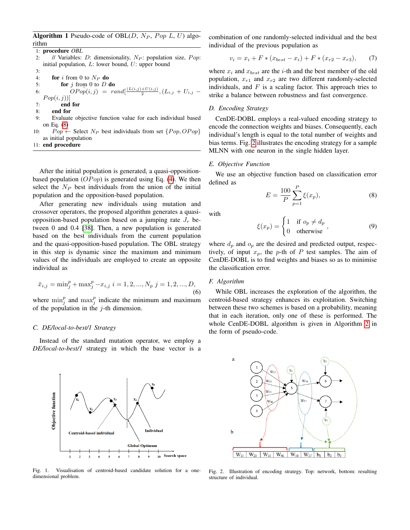<span id="page-2-1"></span>Algorithm 1 Pseudo-code of OBL $(D, N_P, Pop L, U)$  algorithm

1: procedure *OBL* 2: // Variables: D: dimensionality,  $N_P$ : population size, Pop: initial population,  $L$ : lower bound,  $U$ : upper bound 3: 4: **for** i from 0 to  $N_P$  **do** 5: **for**  $j$  from 0 to  $D$  **do** 6:  $OPo\widetilde{p}(i,j) = rand[\frac{(L(i,j)+U(i,j)}{2}, (L_{i,j} + U_{i,j} Pop(i, j))$ 7: end for 8: end for 9: Evaluate objective function value for each individual based on Eq. [\(8\)](#page-2-2) 10:  $Pop \leftarrow$  Select  $N_P$  best individuals from set  $\{Pop, OPop\}$ as initial population

11: end procedure

After the initial population is generated, a quasi-oppositionbased population  $(OPop)$  is generated using Eq. [\(4\)](#page-1-2). We then select the  $N_P$  best individuals from the union of the initial population and the opposition-based population.

After generating new individuals using mutation and crossover operators, the proposed algorithm generates a quasiopposition-based population based on a jumping rate  $J_r$  between 0 and 0.4 [\[38\]](#page-6-11). Then, a new population is generated based on the best individuals from the current population and the quasi-opposition-based population. The OBL strategy in this step is dynamic since the maximum and minimum values of the individuals are employed to create an opposite individual as

$$
\tilde{x}_{i,j} = \min_j^p + \max_j^p -x_{i,j} \ i = 1, 2, ..., N_p \ j = 1, 2, ..., D,
$$
\n(6)

where  $\min_j^p$  and  $\max_j^p$  indicate the minimum and maximum of the population in the  $j$ -th dimension.

### *C. DE/local-to-best/1 Strategy*

Objective function

Instead of the standard mutation operator, we employ a *DE/local-to-best/1* strategy in which the base vector is a

<span id="page-2-0"></span>

Centroid-based individual

**Individual** 

 $10$ 

**Search space** 

**Global Optimum** 

combination of one randomly-selected individual and the best individual of the previous population as

$$
v_i = x_i + F * (x_{best} - x_i) + F * (x_{r2} - x_{r3}), \qquad (7)
$$

where  $x_i$  and  $x_{best}$  are the *i*-th and the best member of the old population,  $x_{r1}$  and  $x_{r2}$  are two different randomly-selected individuals, and  $F$  is a scaling factor. This approach tries to strike a balance between robustness and fast convergence.

# <span id="page-2-4"></span>*D. Encoding Strategy*

CenDE-DOBL employs a real-valued encoding strategy to encode the connection weights and biases. Consequently, each individual's length is equal to the total number of weights and bias terms. Fig. [2](#page-2-3) illustrates the encoding strategy for a sample MLNN with one neuron in the single hidden layer.

#### *E. Objective Function*

We use an objective function based on classification error defined as

<span id="page-2-2"></span>
$$
E = \frac{100}{P} \sum_{p=1}^{P} \xi(x_p),
$$
 (8)

with

$$
\xi(x_p) = \begin{cases} 1 & \text{if } o_p \neq d_p \\ 0 & \text{otherwise} \end{cases},
$$
 (9)

where  $d_p$  and  $o_p$  are the desired and predicted output, respectively, of input  $x_p$ , the p-th of P test samples. The aim of CenDE-DOBL is to find weights and biases so as to minimise the classification error.

#### *F. Algorithm*

While OBL increases the exploration of the algorithm, the centroid-based strategy enhances its exploitation. Switching between these two schemes is based on a probability, meaning that in each iteration, only one of these is performed. The whole CenDE-DOBL algorithm is given in Algorithm [2](#page-3-1) in the form of pseudo-code.



<span id="page-2-3"></span>Fig. 2. Illustration of encoding strategy. Top: network, bottom: resulting structure of individual.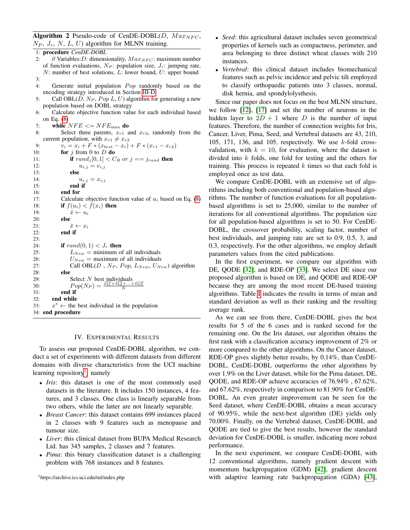<span id="page-3-1"></span>Algorithm 2 Pseudo-code of CenDE-DOBL(D,  $Max_{NFC}$ ,  $N_P$ ,  $J_r$ ,  $N$ ,  $L$ ,  $U$ ) algorithm for MLNN training.

1: procedure *CenDE-DOBL*

| 2:         | // Variables: D: dimensionality, $Max_{NFC}$ : maximum number                                               |
|------------|-------------------------------------------------------------------------------------------------------------|
|            | of function evaluations, $N_P$ : population size, $J_r$ : jumping rate,                                     |
|            | $N$ : number of best solutions, L: lower bound, U: upper bound                                              |
| 3:         |                                                                                                             |
| 4:         | Generate initial population <i>Pop</i> randomly based on the                                                |
|            | encoding strategy introduced in Section III-D                                                               |
| 5:         | Call OBL(D, $N_P$ , Pop L, U) algorithm for generating a new                                                |
|            | population based on DOBL strategy                                                                           |
| 6:         | Calculate objective function value for each individual based                                                |
|            | on Eq. $(8)$                                                                                                |
| 7:         | while $NFE \leq NFE_{\text{max}}$ do                                                                        |
| 8:         | Select three parents, $x_{r1}$ and $x_{r2}$ , randomly from the                                             |
|            | current population, with $x_{r1} \neq x_{r2}$                                                               |
| 9:         | $v_i = x_i + F * (x_{best} - x_i) + F * (x_{r1} - x_{r2})$                                                  |
| 10:        | for $j$ from 0 to D do                                                                                      |
| 11:        | if $rand_j[0,1] < C_R$ or $j == j_{rand}$ then                                                              |
| 12:        | $u_{i,j} = v_{i,j}$                                                                                         |
| 13:        | else                                                                                                        |
| 14:        | $u_{i,j} = x_{i,j}$                                                                                         |
| 15:        | end if                                                                                                      |
| 16:        | end for                                                                                                     |
| 17:        | Calculate objective function value of $u_i$ based on Eq. (8)                                                |
| 18:        | if $f(u_i) < f(x_i)$ then                                                                                   |
| 19:        | $\bar{x} \leftarrow u_i$                                                                                    |
| 20:        | else                                                                                                        |
| 21:        | $\bar{x} \leftarrow x_i$                                                                                    |
| 22:        | end if                                                                                                      |
| 23:        |                                                                                                             |
| 24:        | if $rand(0, 1) < J_r$ then                                                                                  |
| 25:<br>26: | $L_{New}$ = minimum of all individuals                                                                      |
| 27:        | $U_{New}$ = maximum of all individuals<br>Call OBL(D, NP, Pop, $L_{New}$ , $U_{New}$ ) algorithm            |
| 28:        | else                                                                                                        |
| 29:        | Select $N$ best individuals                                                                                 |
| 30:        | $Pop(N_P) = \frac{\overrightarrow{x_{b1}} + \overrightarrow{x_{b2}} + \ldots + \overrightarrow{x_{bN}}}{N}$ |
| 31:        | end if                                                                                                      |
| 32:        | end while                                                                                                   |
| 33:        | $x^* \leftarrow$ the best individual in the population                                                      |
|            | 34: end procedure                                                                                           |
|            |                                                                                                             |

#### IV. EXPERIMENTAL RESULTS

<span id="page-3-0"></span>To assess our proposed CenDE-DOBL algorithm, we conduct a set of experiments with different datasets from different domains with diverse characteristics from the UCI machine learning repository<sup>[1](#page-3-2)</sup>, namely

- *Iris*: this dataset is one of the most commonly used datasets in the literature. It includes 150 instances, 4 features, and 3 classes. One class is linearly separable from two others, while the latter are not linearly separable.
- *Breast Cancer*: this dataset contains 699 instances placed in 2 classes with 9 features such as menopause and tumour size.
- *Liver*: this clinical dataset from BUPA Medical Research Ltd. has 345 samples, 2 classes and 7 features.
- *Pima*: this binary classification dataset is a challenging problem with 768 instances and 8 features.

<span id="page-3-2"></span><sup>1</sup>https://archive.ics.uci.edu/ml/index.php

- *Seed*: this agricultural dataset includes seven geometrical properties of kernels such as compactness, perimeter, and area belonging to three distinct wheat classes with 210 instances.
- *Vertebral*: this clinical dataset includes biomechanical features such as pelvic incidence and pelvic tilt employed to classify orthopaedic patients into 3 classes, normal, disk hernia, and spondylolysthesis.

Since our paper does not focus on the best MLNN structure, we follow [\[12\]](#page-5-14), [\[17\]](#page-5-6) and set the number of neurons in the hidden layer to  $2D + 1$  where D is the number of input features. Therefore, the number of connection weights for Iris, Cancer, Liver, Pima, Seed, and Vertebral datasets are 43, 210, 105, 171, 136, and 105, respectively. We use  $k$ -fold crossvalidation, with  $k = 10$ , for evaluation, where the dataset is divided into k folds, one fold for testing and the others for training. This process is repeated  $k$  times so that each fold is employed once as test data.

We compare CenDE-DOBL with an extensive set of algorithms including both conventional and population-based algorithms. The number of function evaluations for all populationbased algorithms is set to 25,000, similar to the number of iterations for all conventional algorithms. The population size for all population-based algorithms is set to 50. For CenDE-DOBL, the crossover probability, scaling factor, number of best individuals, and jumping rate are set to 0.9, 0.5, 3, and 0.3, respectively. For the other algorithms, we employ default parameters values from the cited publications.

In the first experiment, we compare our algorithm with DE, QODE [\[32\]](#page-6-6), and RDE-OP [\[33\]](#page-6-7). We select DE since our proposed algorithm is based on DE, and QODE and RDE-OP because they are among the most recent DE-based training algorithms. Table [I](#page-4-9) indicates the results in terms of mean and standard deviation as well as their ranking and the resulting average rank.

As we can see from there, CenDE-DOBL gives the best results for 5 of the 6 cases and is ranked second for the remaining one. On the Iris dataset, our algorithm obtains the first rank with a classification accuracy improvement of 2% or more compared to the other algorithms. On the Cancer dataset, RDE-OP gives slightly better results, by 0.14%, than CenDE-DOBL. CenDE-DOBL outperforms the other algorithms by over 1.9% on the Liver dataset, while for the Pima dataset, DE, QODE, and RDE-OP achieve accuracies of 76.94% , 67.62%, and 67.62%, respectively in comparison to 81.90% for CenDE-DOBL. An even greater improvement can be seen for the Seed dataset, where CenDE-DOBL obtains a mean accuracy of 90.95%, while the next-best algorithm (DE) yields only 70.00%. Finally, on the Vertebral dataset, CenDE-DOBL and QODE are tied to give the best results, however the standard deviation for CenDE-DOBL is smaller, indicating more robust performance.

In the next experiment, we compare CenDE-DOBL with 12 conventional algorithms, namely gradient descent with momentum backpropagation (GDM) [\[42\]](#page-7-0), gradient descent with adaptive learning rate backpropagation (GDA) [\[43\]](#page-7-1),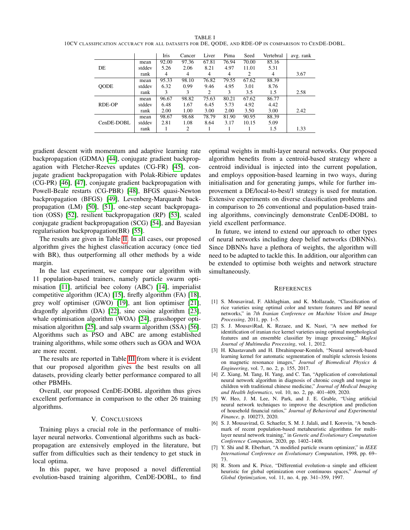<span id="page-4-9"></span>TABLE I 10CV CLASSIFICATION ACCURACY FOR ALL DATASETS FOR DE, QODE, AND RDE-OP IN COMPARISON TO CENDE-DOBL.

|             |        | Iris  | Cancer | Liver | Pima  | Seed  | Vertebral | avg. rank |
|-------------|--------|-------|--------|-------|-------|-------|-----------|-----------|
|             | mean   | 92.00 | 97.36  | 67.81 | 76.94 | 70.00 | 85.16     |           |
| DE          | stddev | 5.26  | 2.06   | 8.21  | 4.97  | 11.01 | 5.31      |           |
|             | rank   | 4     | 4      | 4     | 4     | 2     | 4         | 3.67      |
|             | mean   | 95.33 | 98.10  | 76.82 | 79.55 | 67.62 | 88.39     |           |
| <b>OODE</b> | stddev | 6.32  | 0.99   | 9.46  | 4.95  | 3.01  | 8.76      |           |
|             | rank   | 3     | 3      | 2     | 3     | 3.5   | 1.5       | 2.58      |
|             | mean   | 96.67 | 98.82  | 75.63 | 80.21 | 67.62 | 86.77     |           |
| RDE-OP      | stddev | 6.48  | 1.67   | 6.45  | 5.73  | 4.92  | 4.42      |           |
|             | rank   | 2.00  | 1.00   | 3.00  | 2.00  | 3.50  | 3.00      | 2.42      |
|             | mean   | 98.67 | 98.68  | 78.79 | 81.90 | 90.95 | 88.39     |           |
| CenDE-DOBL  | stddev | 2.81  | 1.08   | 8.64  | 3.17  | 10.15 | 5.09      |           |
|             | rank   |       | 2      |       |       |       | 1.5       | 1.33      |

gradient descent with momentum and adaptive learning rate backpropagation (GDMA) [\[44\]](#page-7-2), conjugate gradient backpropagation with Fletcher-Reeves updates (CG-FR) [\[45\]](#page-7-3), conjugate gradient backpropagation with Polak-Ribiere updates (CG-PR) [\[46\]](#page-7-4), [\[47\]](#page-7-5), conjugate gradient backpropagation with Powell-Beale restarts (CG-PBR) [\[48\]](#page-7-6), BFGS quasi-Newton backpropagation (BFGS) [\[49\]](#page-7-7), Levenberg-Marquardt backpropagation (LM) [\[50\]](#page-7-8), [\[51\]](#page-7-9), one-step secant backpropagation (OSS) [\[52\]](#page-7-10), resilient backpropagation (RP) [\[53\]](#page-7-11), scaled conjugate gradient backpropagation (SCG) [\[54\]](#page-7-12), and Bayesian regularisation backpropagation(BR) [\[55\]](#page-7-13).

The results are given in Table [II.](#page-5-15) In all cases, our proposed algorithm gives the highest classification accuracy (once tied with BR), thus outperforming all other methods by a wide margin.

In the last experiment, we compare our algorithm with 11 population-based trainers, namely particle swarm optimisation [\[11\]](#page-5-2), artificial bee colony (ABC) [\[14\]](#page-5-4), imperialist competitive algorithm (ICA) [\[15\]](#page-5-5), firefly algorithm (FA) [\[18\]](#page-5-7), grey wolf optimiser (GWO) [\[19\]](#page-5-8), ant lion optimiser [\[21\]](#page-5-10), dragonfly algorithm (DA) [\[22\]](#page-5-11), sine cosine algorithm [\[23\]](#page-5-12), whale optimisation algorithm (WOA) [\[24\]](#page-5-13), grasshopper optimisation algorithm [\[25\]](#page-6-0), and salp swarm algorithm (SSA) [\[56\]](#page-7-14). Algorithms such as PSO and ABC are among established training algorithms, while some others such as GOA and WOA are more recent.

The results are reported in Table [III](#page-6-15) from where it is evident that our proposed algorithm gives the best results on all datasets, providing clearly better performance compared to all other PBMHs.

Overall, our proposed CenDE-DOBL algorithm thus gives excellent performance in comparison to the other 26 training algorithms.

# V. CONCLUSIONS

<span id="page-4-8"></span>Training plays a crucial role in the performance of multilayer neural networks. Conventional algorithms such as backpropagation are extensively employed in the literature, but suffer from difficulties such as their tendency to get stuck in local optima.

In this paper, we have proposed a novel differential evolution-based training algorithm, CenDE-DOBL, to find optimal weights in multi-layer neural networks. Our proposed algorithm benefits from a centroid-based strategy where a centroid individual is injected into the current population, and employs opposition-based learning in two ways, during initialisation and for generating jumps, while for further improvement a DE/local-to-best/1 strategy is used for mutation. Extensive experiments on diverse classification problems and in comparison to 26 conventional and population-based training algorithms, convincingly demonstrate CenDE-DOBL to yield excellent performance.

In future, we intend to extend our approach to other types of neural networks including deep belief networks (DBNNs). Since DBNNs have a plethora of weights, the algorithm will need to be adapted to tackle this. In addition, our algorithm can be extended to optimise both weights and network structure simultaneously.

# **REFERENCES**

- <span id="page-4-0"></span>[1] S. Mousavirad, F. Akhlaghian, and K. Mollazade, "Classification of rice varieties using optimal color and texture features and BP neural networks," in *7th Iranian Conference on Machine Vision and Image Processing*, 2011, pp. 1–5.
- <span id="page-4-1"></span>[2] S. J. MousaviRad, K. Rezaee, and K. Nasri, "A new method for identification of iranian rice kernel varieties using optimal morphological features and an ensemble classifier by image processing," *Majlesi Journal of Multimedia Processing*, vol. 1, 2012.
- <span id="page-4-2"></span>[3] H. Khastavaneh and H. Ebrahimpour-Komleh, "Neural network-based learning kernel for automatic segmentation of multiple sclerosis lesions on magnetic resonance images," *Journal of Biomedical Physics & Engineering*, vol. 7, no. 2, p. 155, 2017.
- <span id="page-4-3"></span>[4] Z. Xiang, M. Tang, H. Yang, and C. Tan, "Application of convolutional neural network algorithm in diagnosis of chronic cough and tongue in children with traditional chinese medicine," *Journal of Medical Imaging and Health Informatics*, vol. 10, no. 2, pp. 401–409, 2020.
- <span id="page-4-4"></span>[5] W. Heo, J. M. Lee, N. Park, and J. E. Grable, "Using artificial neural network techniques to improve the description and prediction of household financial ratios," *Journal of Behavioral and Experimental Finance*, p. 100273, 2020.
- <span id="page-4-5"></span>[6] S. J. Mousavirad, G. Schaefer, S. M. J. Jalali, and I. Korovin, "A benchmark of recent population-based metaheuristic algorithms for multilayer neural network training," in *Genetic and Evolutionary Computation Conference Companion*, 2020, pp. 1402–1408.
- <span id="page-4-6"></span>[7] Y. Shi and R. Eberhart, "A modified particle swarm optimizer," in *IEEE International Conference on Evolutionary Computation*, 1998, pp. 69– 73.
- <span id="page-4-7"></span>[8] R. Storn and K. Price, "Differential evolution–a simple and efficient heuristic for global optimization over continuous spaces," *Journal of Global Optimization*, vol. 11, no. 4, pp. 341–359, 1997.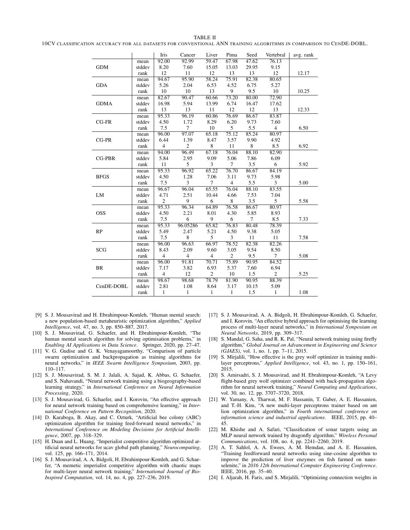# <span id="page-5-15"></span>10CV CLASSIFICATION ACCURACY FOR ALL DATASETS FOR CONVENTIONAL ANN TRAINING ALGORITHMS IN COMPARISON TO CENDE-DOBL.

|               |        | Iris                    | Cancer         | Liver                    | Pima           | Seed   | Vertebral      | avg. rank |
|---------------|--------|-------------------------|----------------|--------------------------|----------------|--------|----------------|-----------|
|               | mean   | 92.00                   | 92.99          | 59.47                    | 67.98          | 47.62  | 76.13          |           |
| <b>GDM</b>    | stddev | 8.20                    | 7.60           | 15.05                    | 13.03          | 29.95  | 9.15           |           |
|               | rank   | 12                      | 11             | 12                       | 13             | 13     | 12             | 12.17     |
|               | mean   | 94.67                   | 95.90          | 58.24                    | 75.91          | 82.38  | 80.65          |           |
| <b>GDA</b>    | stddev | 5.26                    | 2.04           | 6.53                     | 4.52           | 6.75   | 5.27           |           |
|               | rank   | 10                      | 10             | 13                       | 9              | 9.5    | 10             | 10.25     |
|               | mean   | 82.67                   | 90.47          | 60.66                    | 73.20          | 80.00  | 72.90          |           |
| <b>GDMA</b>   | stddev | 16.98                   | 5.94           | 13.99                    | 6.74           | 16.47  | 17.62          |           |
|               | rank   | 13                      | 13             | 11                       | 12             | 12     | 13             | 12.33     |
|               | mean   | 95.33                   | 96.19          | 60.86                    | 76.69          | 86.67  | 83.87          |           |
| $CG-FR$       | stddev | 4.50                    | 1.72           | 8.29                     | 6.20           | 9.73   | 7.60           |           |
|               | rank   | 7.5                     | $\overline{7}$ | 10                       | 5              | 5.5    | $\overline{4}$ | 6.50      |
|               | mean   | 96.00                   | 97.07          | 65.18                    | 75.12          | 85.24  | 80.97          |           |
| CG-PR         | stddev | 6.44                    | 1.39           | 8.47                     | 3.57           | 9.90   | 4.92           |           |
|               | rank   | $\overline{4}$          | $\overline{c}$ | 8                        | $11\,$         | 8      | 8.5            | 6.92      |
|               | mean   | 94.00                   | 96.49          | 67.18                    | 76.04          | 88.10  | 82.90          |           |
| <b>CG-PBR</b> | stddev | 5.84                    | 2.95           | 9.09                     | 5.06           | 7.86   | 6.09           |           |
|               | rank   | 11                      | 5              | 3                        | $\tau$         | 3.5    | 6              | 5.92      |
|               | mean   | 95.33                   | 96.92          | 65.22                    | 76.70          | 86.67  | 84.19          |           |
| <b>BFGS</b>   | stddev | 4.50                    | 1.28           | 7.06                     | 3.11           | 9.73   | 5.98           |           |
|               | rank   | 7.5                     | 3              | $\overline{7}$           | $\overline{4}$ | 5.5    | 3              | 5.00      |
|               | mean   | 96.67                   | 96.04          | 65.55                    | 76.04          | 88.10  | 83.55          |           |
| LM            | stddev | 4.71                    | 2.51           | 10.44                    | 4.66           | 7.53   | 7.04           |           |
|               | rank   | $\overline{c}$          | 9              | 6                        | 8              | 3.5    | 5              | 5.58      |
|               | mean   | 95.33                   | 96.34          | 64.89                    | 76.58          | 86.67  | 80.97          |           |
| <b>OSS</b>    | stddev | 4.50                    | 2.21           | 8.01                     | 4.30           | 5.85   | 8.93           |           |
|               | rank   | 7.5                     | 6              | 9                        | 6              | $\tau$ | 8.5            | 7.33      |
|               | mean   | 95.33                   | 96.05286       | 65.82                    | 76.83          | 80.48  | 78.39          |           |
| RP            | stddev | 5.49                    | 2.47           | 5.21                     | 4.50           | 9.38   | 5.05           |           |
|               | rank   | 7.5                     | 8              | 5                        | 3              | 11     | 11             | 7.58      |
|               | mean   | 96.00                   | 96.63          | 66.97                    | 78.52          | 82.38  | 82.26          |           |
| SCG           | stddev | 8.43                    | 2.09           | 9.60                     | 3.05           | 9.54   | 8.50           |           |
|               | rank   | $\overline{\mathbf{4}}$ | $\overline{4}$ | $\overline{\mathcal{A}}$ | $\sqrt{2}$     | 9.5    | $\tau$         | 5.08      |
|               | mean   | 96.00                   | 91.81          | 70.71                    | 75.89          | 90.95  | 84.52          |           |
| BR            | stddev | 7.17                    | 3.82           | 6.93                     | 5.37           | 7.60   | 6.94           |           |
|               | rank   | $\overline{4}$          | 12             | $\overline{2}$           | $10\,$         | 1.5    | $\overline{c}$ | 5.25      |
|               | mean   | 98.67                   | 98.68          | 78.79                    | 81.90          | 90.95  | 88.39          |           |
| CenDE-DOBL    | stddev | 2.81                    | 1.08           | 8.64                     | 3.17           | 10.15  | 5.09           |           |
|               | rank   | 1                       | 1              | $\mathbf{1}$             | $\mathbf{1}$   | 1.5    | $\mathbf{1}$   | 1.08      |
|               |        |                         |                |                          |                |        |                |           |

- <span id="page-5-0"></span>[9] S. J. Mousavirad and H. Ebrahimpour-Komleh, "Human mental search: a new population-based metaheuristic optimization algorithm," *Applied Intelligence*, vol. 47, no. 3, pp. 850–887, 2017.
- <span id="page-5-1"></span>[10] S. J. Mousavirad, G. Schaefer, and H. Ebrahimpour-Komleh, "The human mental search algorithm for solving optimisation problems," in *Enabling AI Applications in Data Science*. Springer, 2020, pp. 27–47.
- <span id="page-5-2"></span>[11] V. G. Gudise and G. K. Venayagamoorthy, "Comparison of particle swarm optimization and backpropagation as training algorithms for neural networks," in *IEEE Swarm Intelligence Symposium*, 2003, pp. 110–117.
- <span id="page-5-14"></span>[12] S. J. Mousavirad, S. M. J. Jalali, A. Sajad, K. Abbas, G. Schaefer, and S. Nahavandi, "Neural network training using a biogeography-based learning strategy," in *International Conference on Neural Information Processing*, 2020.
- <span id="page-5-3"></span>[13] S. J. Mousavirad, G. Schaefer, and I. Korovin, "An effective approach for neural network training based on comprehensive learning," in *International Conference on Pattern Recognition*, 2020.
- <span id="page-5-4"></span>[14] D. Karaboga, B. Akay, and C. Ozturk, "Artificial bee colony (ABC) optimization algorithm for training feed-forward neural networks," in *International Conference on Modeling Decisions for Artificial Intelligence*, 2007, pp. 318–329.
- <span id="page-5-5"></span>[15] H. Duan and L. Huang, "Imperialist competitive algorithm optimized artificial neural networks for ucav global path planning," *Neurocomputing*, vol. 125, pp. 166–171, 2014.
- [16] S. J. Mousavirad, A. A. Bidgoli, H. Ebrahimpour-Komleh, and G. Schaefer, "A memetic imperialist competitive algorithm with chaotic maps for multi-layer neural network training," *International Journal of Bio-Inspired Computation*, vol. 14, no. 4, pp. 227–236, 2019.
- <span id="page-5-6"></span>[17] S. J. Mousavirad, A. A. Bidgoli, H. Ebrahimpour-Komleh, G. Schaefer, and I. Korovin, "An effective hybrid approach for optimising the learning process of multi-layer neural networks," in *International Symposium on Neural Networks*, 2019, pp. 309–317.
- <span id="page-5-7"></span>[18] S. Mandal, G. Saha, and R. K. Pal, "Neural network training using firefly algorithm," *Global Journal on Advancement in Engineering and Science (GJAES)*, vol. 1, no. 1, pp. 7–11, 2015.
- <span id="page-5-8"></span>[19] S. Mirjalili, "How effective is the grey wolf optimizer in training multilayer perceptrons," *Applied Intelligence*, vol. 43, no. 1, pp. 150–161, 2015.
- <span id="page-5-9"></span>[20] S. Amirsadri, S. J. Mousavirad, and H. Ebrahimpour-Komleh, "A Levy flight-based grey wolf optimizer combined with back-propagation algorithm for neural network training," *Neural Computing and Applications*, vol. 30, no. 12, pp. 3707–3720, 2018.
- <span id="page-5-10"></span>[21] W. Yamany, A. Tharwat, M. F. Hassanin, T. Gaber, A. E. Hassanien, and T.-H. Kim, "A new multi-layer perceptrons trainer based on ant lion optimization algorithm," in *Fourth international conference on information science and industrial applications*. IEEE, 2015, pp. 40– 45.
- <span id="page-5-11"></span>[22] M. Khishe and A. Safari, "Classification of sonar targets using an MLP neural network trained by dragonfly algorithm," *Wireless Personal Communications*, vol. 108, no. 4, pp. 2241–2260, 2019.
- <span id="page-5-12"></span>[23] A. T. Sahlol, A. A. Ewees, A. M. Hemdan, and A. E. Hassanien, "Training feedforward neural networks using sine-cosine algorithm to improve the prediction of liver enzymes on fish farmed on nanoselenite," in *2016 12th International Computer Engineering Conference*. IEEE, 2016, pp. 35–40.
- <span id="page-5-13"></span>[24] I. Aljarah, H. Faris, and S. Mirjalili, "Optimizing connection weights in

#### TABLE II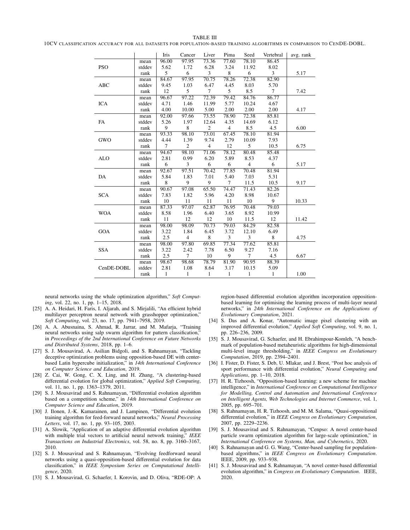#### <span id="page-6-15"></span>TABLE III 10CV CLASSIFICATION ACCURACY FOR ALL DATASETS FOR POPULATION-BASED TRAINING ALGORITHMS IN COMPARISON TO CENDE-DOBL.

|            |        | Iris         | Cancer         | Liver          | Pima           | Seed           | Vertebral    | avg. rank |
|------------|--------|--------------|----------------|----------------|----------------|----------------|--------------|-----------|
|            | mean   | 96.00        | 97.95          | 73.36          | 77.60          | 78.10          | 86.45        |           |
| <b>PSO</b> | stddev | 5.62         | 1.72           | 6.28           | 3.24           | 11.92          | 8.02         |           |
|            | rank   | 5            | 6              | 3              | 8              | 6              | 3            | 5.17      |
|            | mean   | 84.67        | 97.95          | 70.75          | 78.26          | 72.38          | 82.90        |           |
| ABC        | stddev | 9.45         | 1.03           | 6.47           | 4.45           | 8.03           | 5.70         |           |
|            | rank   | 12           | 5              | 7              | 5              | 8.5            | $\tau$       | 7.42      |
|            | mean   | 96.67        | 97.22          | 72.39          | 79.42          | 84.76          | 86.77        |           |
| <b>ICA</b> | stddev | 4.71         | 1.46           | 11.99          | 5.77           | 10.24          | 4.67         |           |
|            | rank   | 4.00         | 10.00          | 5.00           | 2.00           | 2.00           | 2.00         | 4.17      |
|            | mean   | 92.00        | 97.66          | 73.55          | 78.90          | 72.38          | 85.81        |           |
| FA         | stddev | 5.26         | 1.97           | 12.64          | 4.35           | 14.69          | 6.12         |           |
|            | rank   | 9            | 8              | $\overline{c}$ | $\overline{4}$ | 8.5            | 4.5          | 6.00      |
|            | mean   | 93.33        | 98.10          | 73.01          | 67.45          | 78.10          | 81.94        |           |
| GWO        | stddev | 4.44         | 1.39           | 9.74           | 2.79           | 10.09          | 7.93         |           |
|            | rank   | $\tau$       | $\overline{c}$ | $\overline{4}$ | 12             | 5              | 10.5         | 6.75      |
|            | mean   | 94.67        | 98.10          | 71.06          | 78.12          | 80.48          | 85.48        |           |
| <b>ALO</b> | stddev | 2.81         | 0.99           | 6.20           | 5.89           | 8.53           | 4.37         |           |
|            | rank   | 6            | 3              | 6              | 6              | $\overline{4}$ | 6            | 5.17      |
|            | mean   | 92.67        | 97.51          | 70.42          | 77.85          | 70.48          | 81.94        |           |
| DA         | stddev | 5.84         | 1.83           | 7.01           | 5.40           | 7.03           | 5.31         |           |
|            | rank   | 8            | 9              | 9              | $\tau$         | 11.5           | 10.5         | 9.17      |
|            | mean   | 90.67        | 97.08          | 65.50          | 74.47          | 71.43          | 82.26        |           |
| <b>SCA</b> | stddev | 7.83         | 1.82           | 5.96           | 4.20           | 8.98           | 10.67        |           |
|            | rank   | 10           | 11             | 11             | 11             | 10             | 9            | 10.33     |
|            | mean   | 87.33        | 97.07          | 62.87          | 76.95          | 70.48          | 79.03        |           |
| <b>WOA</b> | stddev | 8.58         | 1.96           | 6.40           | 3.65           | 8.92           | 10.99        |           |
|            | rank   | 11           | 12             | 12             | 10             | 11.5           | 12           | 11.42     |
|            | mean   | 98.00        | 98.09          | 70.73          | 79.03          | 84.29          | 82.58        |           |
| <b>GOA</b> | stddev | 3.22         | 1.84           | 6.45           | 3.72           | 12.10          | 6.49         |           |
|            | rank   | 2.5          | $\overline{4}$ | 8              | 3              | 3              | 8            | 4.75      |
|            | mean   | 98.00        | 97.80          | 69.85          | 77.34          | 77.62          | 85.81        |           |
| <b>SSA</b> | stddev | 3.22         | 2.42           | 7.78           | 6.50           | 9.27           | 7.16         |           |
|            | rank   | 2.5          | $\overline{7}$ | 10             | 9              | $\tau$         | 4.5          | 6.67      |
|            | mean   | 98.67        | 98.68          | 78.79          | 81.90          | 90.95          | 88.39        |           |
| CenDE-DOBL | stddev | 2.81         | 1.08           | 8.64           | 3.17           | 10.15          | 5.09         |           |
|            | rank   | $\mathbf{1}$ | 1              | $\mathbf{1}$   | 1              | $\mathbf{1}$   | $\mathbf{1}$ | 1.00      |

neural networks using the whale optimization algorithm," *Soft Computing*, vol. 22, no. 1, pp. 1–15, 2018.

- <span id="page-6-0"></span>[25] A. A. Heidari, H. Faris, I. Aljarah, and S. Mirjalili, "An efficient hybrid multilayer perceptron neural network with grasshopper optimization," *Soft Computing*, vol. 23, no. 17, pp. 7941–7958, 2019.
- <span id="page-6-1"></span>[26] A. A. Abusnaina, S. Ahmad, R. Jarrar, and M. Mafarja, "Training neural networks using salp swarm algorithm for pattern classification," in *Proceedings of the 2nd International Conference on Future Networks and Distributed Systems*, 2018, pp. 1–6.
- <span id="page-6-2"></span>[27] S. J. Mousavirad, A. Asilian Bidgoli, and S. Rahnamayan, "Tackling deceptive optimization problems using opposition-based DE with centerbased Latin hypercube initialization," in *14th International Conference on Computer Science and Education*, 2019.
- [28] Z. Cai, W. Gong, C. X. Ling, and H. Zhang, "A clustering-based differential evolution for global optimization," *Applied Soft Computing*, vol. 11, no. 1, pp. 1363-1379, 2011.
- <span id="page-6-3"></span>[29] S. J. Mousavirad and S. Rahnamayan, "Differential evolution algorithm based on a competition scheme," in *14th International Conference on Computer Science and Education*, 2019.
- <span id="page-6-4"></span>[30] J. Ilonen, J.-K. Kamarainen, and J. Lampinen, "Differential evolution training algorithm for feed-forward neural networks," *Neural Processing Letters*, vol. 17, no. 1, pp. 93–105, 2003.
- <span id="page-6-5"></span>[31] A. Slowik, "Application of an adaptive differential evolution algorithm with multiple trial vectors to artificial neural network training," *IEEE Transactions on Industrial Electronics*, vol. 58, no. 8, pp. 3160–3167, 2010.
- <span id="page-6-6"></span>[32] S. J. Mousavirad and S. Rahnamayan, "Evolving feedforward neural networks using a quasi-opposition-based differential evolution for data classification," in *IEEE Symposium Series on Computational Intelligence*, 2020.
- <span id="page-6-7"></span>[33] S. J. Mousavirad, G. Schaefer, I. Korovin, and D. Oliva, "RDE-OP: A

region-based differential evolution algorithm incorporation oppositionbased learning for optimising the learning process of multi-layer neural networks," in *24th International Conference on the Applications of Evolutionary Computation*, 2021.

- <span id="page-6-8"></span>[34] S. Das and A. Konar, "Automatic image pixel clustering with an improved differential evolution," *Applied Soft Computing*, vol. 9, no. 1, pp. 226–236, 2009.
- [35] S. J. Mousavirad, G. Schaefer, and H. Ebrahimpour-Komleh, "A benchmark of population-based metaheuristic algorithms for high-dimensional multi-level image thresholding," in *IEEE Congress on Evolutionary Computation*, 2019, pp. 2394–2401.
- <span id="page-6-9"></span>[36] I. Fister, D. Fister, S. Deb, U. Mlakar, and J. Brest, "Post hoc analysis of sport performance with differential evolution," *Neural Computing and Applications*, pp. 1–10, 2018.
- <span id="page-6-10"></span>[37] H. R. Tizhoosh, "Opposition-based learning: a new scheme for machine intelligence," in *International Conference on Computational Intelligence for Modelling, Control and Automation and International Conference on Intelligent Agents, Web Technologies and Internet Commerce*, vol. 1, 2005, pp. 695–701.
- <span id="page-6-11"></span>[38] S. Rahnamayan, H. R. Tizhoosh, and M. M. Salama, "Quasi-oppositional differential evolution," in *IEEE Congress on Evolutionary Computation*, 2007, pp. 2229–2236.
- <span id="page-6-12"></span>[39] S. J. Mousavirad and S. Rahnamayan, "Cenpso: A novel center-based particle swarm optimization algorithm for large-scale optimization," in *International Conference on Systems, Man, and Cybernetics*, 2020.
- <span id="page-6-13"></span>[40] S. Rahnamayan and G. G. Wang, "Center-based sampling for populationbased algorithms," in *IEEE Congress on Evolutionary Computation*. IEEE, 2009, pp. 933–938.
- <span id="page-6-14"></span>[41] S. J. Mousavirad and S. Rahnamayan, "A novel center-based differential evolution algorithm," in *Congress on Evolutionary Computation*. IEEE, 2020.